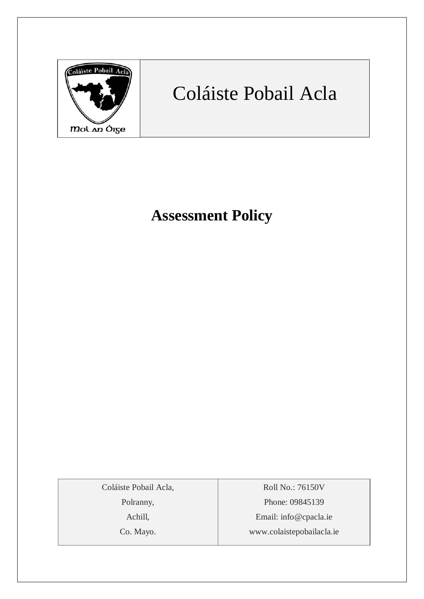

# Coláiste Pobail Acla

## **Assessment Policy**

Coláiste Pobail Acla,

Polranny,

Achill,

Co. Mayo.

Roll No.: 76150V Phone: 09845139 Email: [info@cpacla.ie](mailto:info@cpacla.ie) www.colaistepobailacla.ie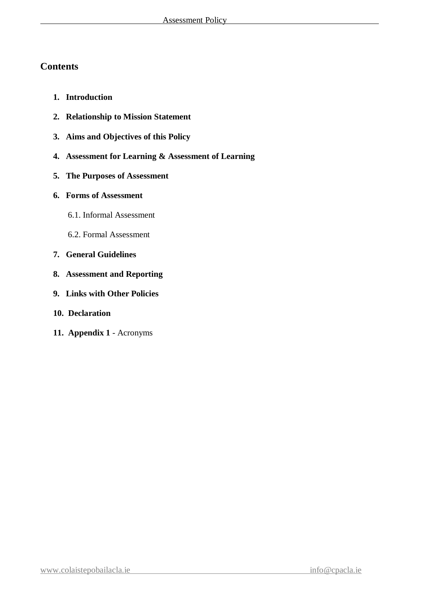## **Contents**

- **1. Introduction**
- **2. Relationship to Mission Statement**
- **3. Aims and Objectives of this Policy**
- **4. Assessment for Learning & Assessment of Learning**
- **5. The Purposes of Assessment**
- **6. Forms of Assessment**
	- 6.1. Informal Assessment
	- 6.2. Formal Assessment
- **7. General Guidelines**
- **8. Assessment and Reporting**
- **9. Links with Other Policies**
- **10. Declaration**
- **11. Appendix 1**  Acronyms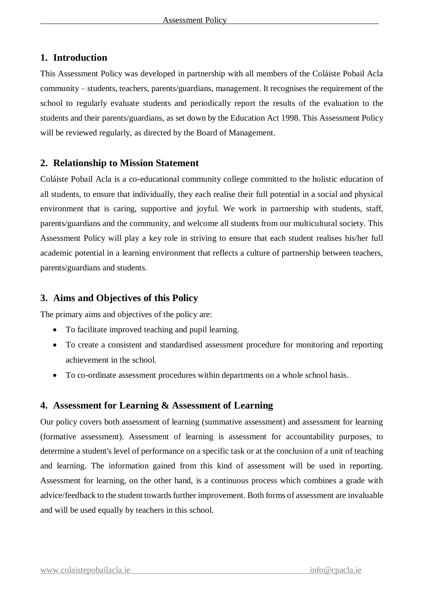## **1. Introduction**

This Assessment Policy was developed in partnership with all members of the Coláiste Pobail Acla community – students, teachers, parents/guardians, management. It recognises the requirement of the school to regularly evaluate students and periodically report the results of the evaluation to the students and their parents/guardians, as set down by the Education Act 1998. This Assessment Policy will be reviewed regularly, as directed by the Board of Management.

## **2. Relationship to Mission Statement**

Coláiste Pobail Acla is a co-educational community college committed to the holistic education of all students, to ensure that individually, they each realise their full potential in a social and physical environment that is caring, supportive and joyful. We work in partnership with students, staff, parents/guardians and the community, and welcome all students from our multicultural society. This Assessment Policy will play a key role in striving to ensure that each student realises his/her full academic potential in a learning environment that reflects a culture of partnership between teachers, parents/guardians and students.

## **3. Aims and Objectives of this Policy**

The primary aims and objectives of the policy are:

- To facilitate improved teaching and pupil learning.
- To create a consistent and standardised assessment procedure for monitoring and reporting achievement in the school.
- To co-ordinate assessment procedures within departments on a whole school basis.

## **4. Assessment for Learning & Assessment of Learning**

Our policy covers both assessment of learning (summative assessment) and assessment for learning (formative assessment). Assessment of learning is assessment for accountability purposes, to determine a student's level of performance on a specific task or at the conclusion of a unit of teaching and learning. The information gained from this kind of assessment will be used in reporting. Assessment for learning, on the other hand, is a continuous process which combines a grade with advice/feedback to the student towards further improvement. Both forms of assessment are invaluable and will be used equally by teachers in this school.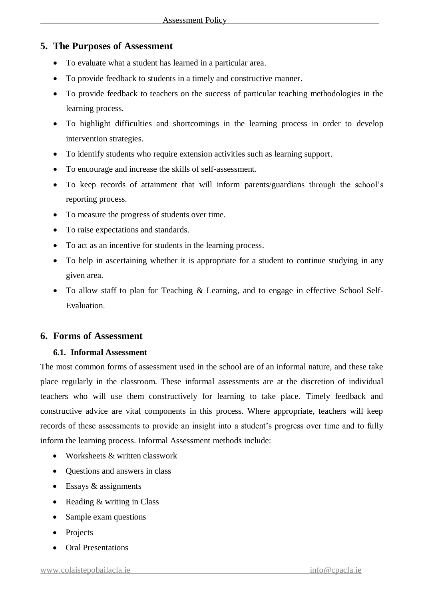## **5. The Purposes of Assessment**

- To evaluate what a student has learned in a particular area.
- To provide feedback to students in a timely and constructive manner.
- To provide feedback to teachers on the success of particular teaching methodologies in the learning process.
- To highlight difficulties and shortcomings in the learning process in order to develop intervention strategies.
- To identify students who require extension activities such as learning support.
- To encourage and increase the skills of self-assessment.
- To keep records of attainment that will inform parents/guardians through the school's reporting process.
- To measure the progress of students over time.
- To raise expectations and standards.
- To act as an incentive for students in the learning process.
- To help in ascertaining whether it is appropriate for a student to continue studying in any given area.
- To allow staff to plan for Teaching & Learning, and to engage in effective School Self-Evaluation.

### **6. Forms of Assessment**

#### **6.1. Informal Assessment**

The most common forms of assessment used in the school are of an informal nature, and these take place regularly in the classroom. These informal assessments are at the discretion of individual teachers who will use them constructively for learning to take place. Timely feedback and constructive advice are vital components in this process. Where appropriate, teachers will keep records of these assessments to provide an insight into a student's progress over time and to fully inform the learning process. Informal Assessment methods include:

- Worksheets & written classwork
- Ouestions and answers in class
- $\bullet$  Essays & assignments
- Reading  $&$  writing in Class
- Sample exam questions
- Projects
- Oral Presentations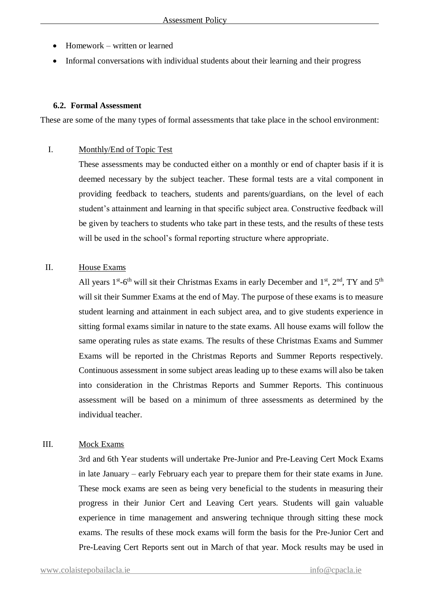- Homework written or learned
- Informal conversations with individual students about their learning and their progress

#### **6.2. Formal Assessment**

These are some of the many types of formal assessments that take place in the school environment:

#### I. Monthly/End of Topic Test

These assessments may be conducted either on a monthly or end of chapter basis if it is deemed necessary by the subject teacher. These formal tests are a vital component in providing feedback to teachers, students and parents/guardians, on the level of each student's attainment and learning in that specific subject area. Constructive feedback will be given by teachers to students who take part in these tests, and the results of these tests will be used in the school's formal reporting structure where appropriate.

#### II. House Exams

All years  $1^{st}$ -6<sup>th</sup> will sit their Christmas Exams in early December and  $1^{st}$ ,  $2^{nd}$ , TY and  $5^{th}$ will sit their Summer Exams at the end of May. The purpose of these exams is to measure student learning and attainment in each subject area, and to give students experience in sitting formal exams similar in nature to the state exams. All house exams will follow the same operating rules as state exams. The results of these Christmas Exams and Summer Exams will be reported in the Christmas Reports and Summer Reports respectively. Continuous assessment in some subject areas leading up to these exams will also be taken into consideration in the Christmas Reports and Summer Reports. This continuous assessment will be based on a minimum of three assessments as determined by the individual teacher.

#### III. Mock Exams

3rd and 6th Year students will undertake Pre-Junior and Pre-Leaving Cert Mock Exams in late January – early February each year to prepare them for their state exams in June. These mock exams are seen as being very beneficial to the students in measuring their progress in their Junior Cert and Leaving Cert years. Students will gain valuable experience in time management and answering technique through sitting these mock exams. The results of these mock exams will form the basis for the Pre-Junior Cert and Pre-Leaving Cert Reports sent out in March of that year. Mock results may be used in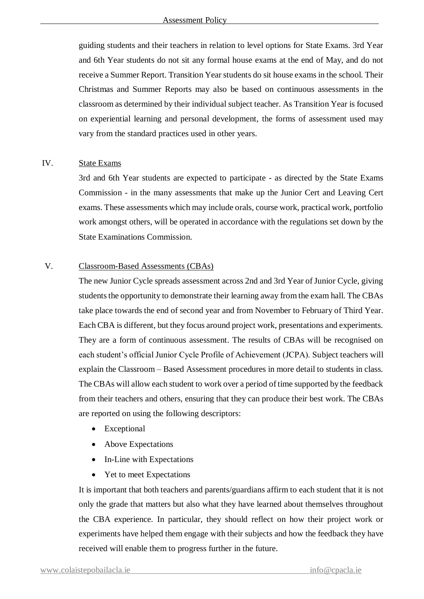guiding students and their teachers in relation to level options for State Exams. 3rd Year and 6th Year students do not sit any formal house exams at the end of May, and do not receive a Summer Report. Transition Year students do sit house exams in the school. Their Christmas and Summer Reports may also be based on continuous assessments in the classroom as determined by their individual subject teacher. As Transition Year is focused on experiential learning and personal development, the forms of assessment used may vary from the standard practices used in other years.

#### IV. State Exams

3rd and 6th Year students are expected to participate - as directed by the State Exams Commission - in the many assessments that make up the Junior Cert and Leaving Cert exams. These assessments which may include orals, course work, practical work, portfolio work amongst others, will be operated in accordance with the regulations set down by the State Examinations Commission.

#### V. Classroom-Based Assessments (CBAs)

The new Junior Cycle spreads assessment across 2nd and 3rd Year of Junior Cycle, giving students the opportunity to demonstrate their learning away from the exam hall. The CBAs take place towards the end of second year and from November to February of Third Year. Each CBA is different, but they focus around project work, presentations and experiments. They are a form of continuous assessment. The results of CBAs will be recognised on each student's official Junior Cycle Profile of Achievement (JCPA). Subject teachers will explain the Classroom – Based Assessment procedures in more detail to students in class. The CBAs will allow each student to work over a period of time supported by the feedback from their teachers and others, ensuring that they can produce their best work. The CBAs are reported on using the following descriptors:

- Exceptional
- Above Expectations
- In-Line with Expectations
- Yet to meet Expectations

It is important that both teachers and parents/guardians affirm to each student that it is not only the grade that matters but also what they have learned about themselves throughout the CBA experience. In particular, they should reflect on how their project work or experiments have helped them engage with their subjects and how the feedback they have received will enable them to progress further in the future.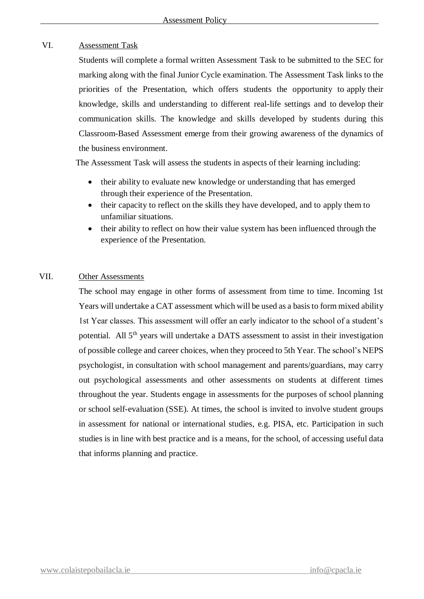#### VI. Assessment Task

Students will complete a formal written Assessment Task to be submitted to the SEC for marking along with the final Junior Cycle examination. The Assessment Task links to the priorities of the Presentation, which offers students the opportunity to apply their knowledge, skills and understanding to different real-life settings and to develop their communication skills. The knowledge and skills developed by students during this Classroom-Based Assessment emerge from their growing awareness of the dynamics of the business environment.

The Assessment Task will assess the students in aspects of their learning including:

- their ability to evaluate new knowledge or understanding that has emerged through their experience of the Presentation.
- their capacity to reflect on the skills they have developed, and to apply them to unfamiliar situations.
- their ability to reflect on how their value system has been influenced through the experience of the Presentation.

#### VII. Other Assessments

The school may engage in other forms of assessment from time to time. Incoming 1st Years will undertake a CAT assessment which will be used as a basis to form mixed ability 1st Year classes. This assessment will offer an early indicator to the school of a student's potential. All 5th years will undertake a DATS assessment to assist in their investigation of possible college and career choices, when they proceed to 5th Year. The school's NEPS psychologist, in consultation with school management and parents/guardians, may carry out psychological assessments and other assessments on students at different times throughout the year. Students engage in assessments for the purposes of school planning or school self-evaluation (SSE). At times, the school is invited to involve student groups in assessment for national or international studies, e.g. PISA, etc. Participation in such studies is in line with best practice and is a means, for the school, of accessing useful data that informs planning and practice.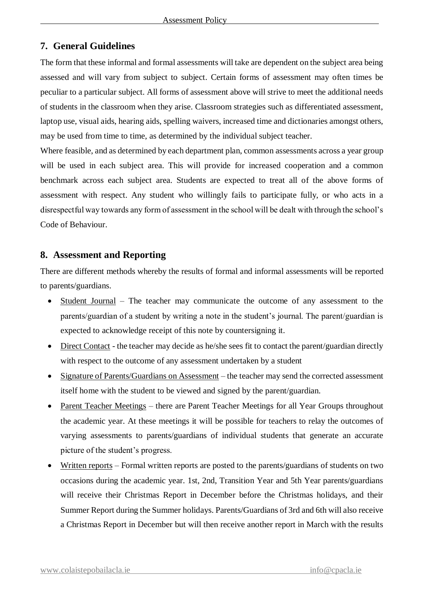## **7. General Guidelines**

The form that these informal and formal assessments will take are dependent on the subject area being assessed and will vary from subject to subject. Certain forms of assessment may often times be peculiar to a particular subject. All forms of assessment above will strive to meet the additional needs of students in the classroom when they arise. Classroom strategies such as differentiated assessment, laptop use, visual aids, hearing aids, spelling waivers, increased time and dictionaries amongst others, may be used from time to time, as determined by the individual subject teacher.

Where feasible, and as determined by each department plan, common assessments across a year group will be used in each subject area. This will provide for increased cooperation and a common benchmark across each subject area. Students are expected to treat all of the above forms of assessment with respect. Any student who willingly fails to participate fully, or who acts in a disrespectful way towards any form of assessment in the school will be dealt with through the school's Code of Behaviour.

## **8. Assessment and Reporting**

There are different methods whereby the results of formal and informal assessments will be reported to parents/guardians.

- Student Journal The teacher may communicate the outcome of any assessment to the parents/guardian of a student by writing a note in the student's journal. The parent/guardian is expected to acknowledge receipt of this note by countersigning it.
- Direct Contact the teacher may decide as he/she sees fit to contact the parent/guardian directly with respect to the outcome of any assessment undertaken by a student
- Signature of Parents/Guardians on Assessment the teacher may send the corrected assessment itself home with the student to be viewed and signed by the parent/guardian.
- Parent Teacher Meetings there are Parent Teacher Meetings for all Year Groups throughout the academic year. At these meetings it will be possible for teachers to relay the outcomes of varying assessments to parents/guardians of individual students that generate an accurate picture of the student's progress.
- $\bullet$  Written reports Formal written reports are posted to the parents/guardians of students on two occasions during the academic year. 1st, 2nd, Transition Year and 5th Year parents/guardians will receive their Christmas Report in December before the Christmas holidays, and their Summer Report during the Summer holidays. Parents/Guardians of 3rd and 6th will also receive a Christmas Report in December but will then receive another report in March with the results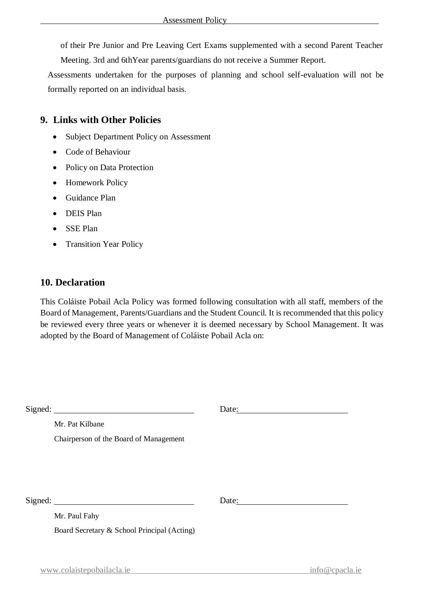of their Pre Junior and Pre Leaving Cert Exams supplemented with a second Parent Teacher Meeting. 3rd and 6thYear parents/guardians do not receive a Summer Report.

Assessments undertaken for the purposes of planning and school self-evaluation will not be formally reported on an individual basis.

## **9. Links with Other Policies**

- Subject Department Policy on Assessment
- Code of Behaviour
- Policy on Data Protection
- Homework Policy
- Guidance Plan
- DEIS Plan
- SSE Plan
- Transition Year Policy

## **10. Declaration**

This Coláiste Pobail Acla Policy was formed following consultation with all staff, members of the Board of Management, Parents/Guardians and the Student Council. It is recommended that this policy be reviewed every three years or whenever it is deemed necessary by School Management. It was adopted by the Board of Management of Coláiste Pobail Acla on:

| $Sigma:$ Signed:                            | Date: |
|---------------------------------------------|-------|
| Mr. Pat Kilbane                             |       |
| Chairperson of the Board of Management      |       |
|                                             |       |
|                                             |       |
|                                             |       |
| Signed: $\qquad \qquad$                     | Date: |
| Mr. Paul Fahy                               |       |
| Board Secretary & School Principal (Acting) |       |
|                                             |       |